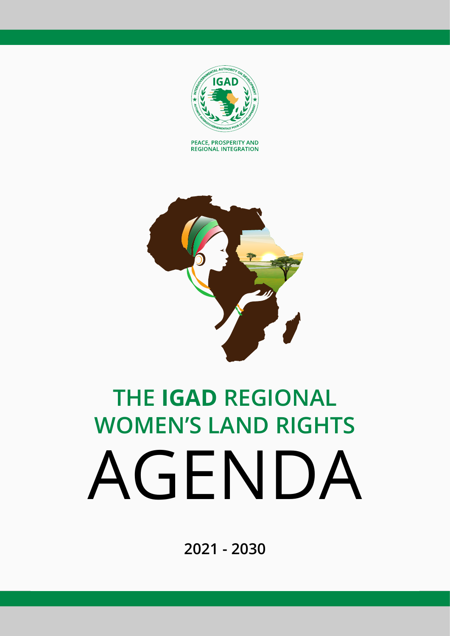

PEACE, PROSPERITY AND **REGIONAL INTEGRATION** 



# **THE IGAD REGIONAL WOMEN'S LAND RIGHTS** AGENDA

**2021 - 2030**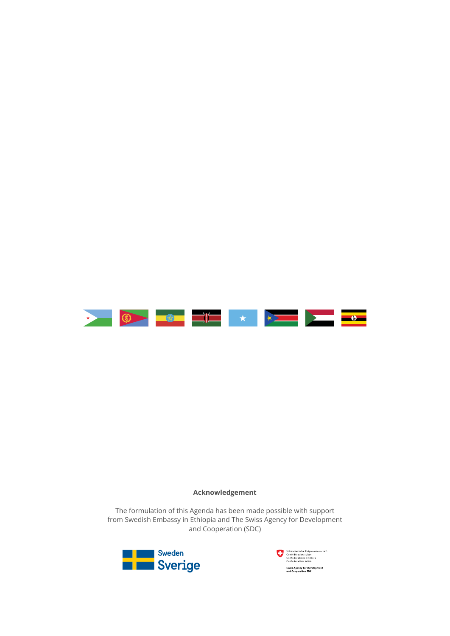

#### **Acknowledgement**

The formulation of this Agenda has been made possible with support from Swedish Embassy in Ethiopia and The Swiss Agency for Development and Cooperation (SDC)



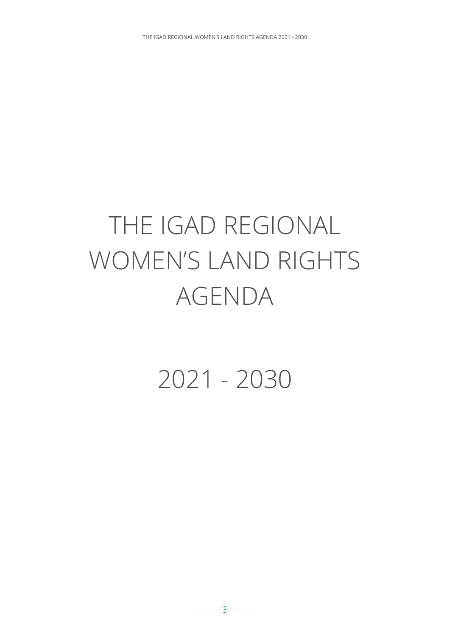## THE IGAD REGIONAL WOMEN'S LAND RIGHTS AGENDA

2021 - 2030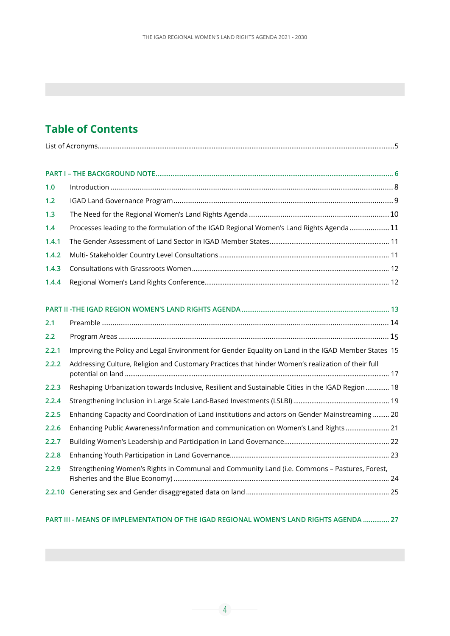#### **Table of Contents**

| 1.0   |                                                                                                     |  |
|-------|-----------------------------------------------------------------------------------------------------|--|
| 1.2   |                                                                                                     |  |
| 1.3   |                                                                                                     |  |
| 1.4   | Processes leading to the formulation of the IGAD Regional Women's Land Rights Agenda 11             |  |
| 1.4.1 |                                                                                                     |  |
| 1.4.2 |                                                                                                     |  |
| 1.4.3 |                                                                                                     |  |
| 1.4.4 |                                                                                                     |  |
|       |                                                                                                     |  |
|       |                                                                                                     |  |
| 2.1   |                                                                                                     |  |
| 2.2   |                                                                                                     |  |
| 2.2.1 | Improving the Policy and Legal Environment for Gender Equality on Land in the IGAD Member States 15 |  |
| 2.2.2 | Addressing Culture, Religion and Customary Practices that hinder Women's realization of their full  |  |
|       |                                                                                                     |  |
| 2.2.3 | Reshaping Urbanization towards Inclusive, Resilient and Sustainable Cities in the IGAD Region  18   |  |
| 2.2.4 |                                                                                                     |  |
| 2.2.5 | Enhancing Capacity and Coordination of Land institutions and actors on Gender Mainstreaming  20     |  |
| 2.2.6 | Enhancing Public Awareness/Information and communication on Women's Land Rights  21                 |  |
| 2.2.7 |                                                                                                     |  |
| 2.2.8 |                                                                                                     |  |
| 2.2.9 | Strengthening Women's Rights in Communal and Community Land (i.e. Commons - Pastures, Forest,       |  |
|       |                                                                                                     |  |

#### **PART III - MEANS OF IMPLEMENTATION OF THE IGAD REGIONAL WOMEN'S LAND RIGHTS AGENDA .............. 27**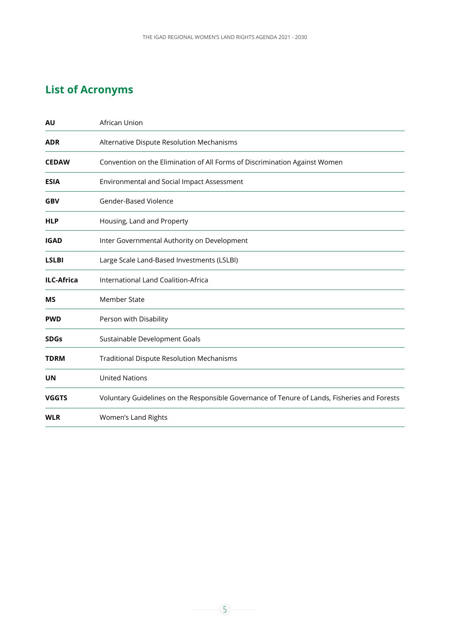#### **List of Acronyms**

| <b>AU</b>         | African Union                                                                                |
|-------------------|----------------------------------------------------------------------------------------------|
| <b>ADR</b>        | Alternative Dispute Resolution Mechanisms                                                    |
| <b>CEDAW</b>      | Convention on the Elimination of All Forms of Discrimination Against Women                   |
| <b>ESIA</b>       | Environmental and Social Impact Assessment                                                   |
| <b>GBV</b>        | Gender-Based Violence                                                                        |
| <b>HLP</b>        | Housing, Land and Property                                                                   |
| <b>IGAD</b>       | Inter Governmental Authority on Development                                                  |
| <b>LSLBI</b>      | Large Scale Land-Based Investments (LSLBI)                                                   |
| <b>ILC-Africa</b> | International Land Coalition-Africa                                                          |
| <b>MS</b>         | <b>Member State</b>                                                                          |
| <b>PWD</b>        | Person with Disability                                                                       |
| <b>SDGs</b>       | Sustainable Development Goals                                                                |
| <b>TDRM</b>       | <b>Traditional Dispute Resolution Mechanisms</b>                                             |
| UN                | <b>United Nations</b>                                                                        |
| <b>VGGTS</b>      | Voluntary Guidelines on the Responsible Governance of Tenure of Lands, Fisheries and Forests |
| <b>WLR</b>        | Women's Land Rights                                                                          |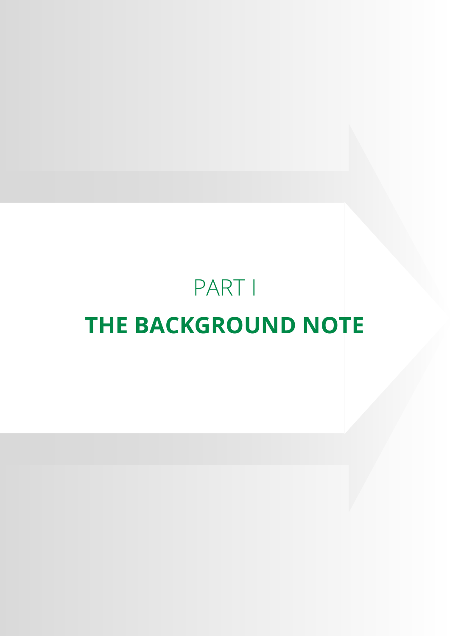## PART I **THE BACKGROUND NOTE**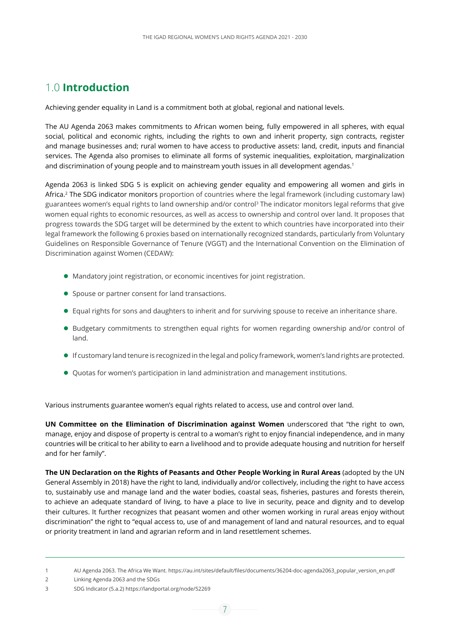#### 1.0 **Introduction**

Achieving gender equality in Land is a commitment both at global, regional and national levels.

The AU Agenda 2063 makes commitments to African women being, fully empowered in all spheres, with equal social, political and economic rights, including the rights to own and inherit property, sign contracts, register and manage businesses and; rural women to have access to productive assets: land, credit, inputs and financial services. The Agenda also promises to eliminate all forms of systemic inequalities, exploitation, marginalization and discrimination of young people and to mainstream youth issues in all development agendas.<sup>1</sup>

Agenda 2063 is linked SDG 5 is explicit on achieving gender equality and empowering all women and girls in Africa.2 The SDG indicator monitors proportion of countries where the legal framework (including customary law) guarantees women's equal rights to land ownership and/or control3 The indicator monitors legal reforms that give women equal rights to economic resources, as well as access to ownership and control over land. It proposes that progress towards the SDG target will be determined by the extent to which countries have incorporated into their legal framework the following 6 proxies based on internationally recognized standards, particularly from Voluntary Guidelines on Responsible Governance of Tenure (VGGT) and the International Convention on the Elimination of Discrimination against Women (CEDAW):

- Mandatory joint registration, or economic incentives for joint registration.
- **•** Spouse or partner consent for land transactions.
- Equal rights for sons and daughters to inherit and for surviving spouse to receive an inheritance share.
- Budgetary commitments to strengthen equal rights for women regarding ownership and/or control of land.
- If customary land tenure is recognized in the legal and policy framework, women's land rights are protected.
- Quotas for women's participation in land administration and management institutions.

Various instruments guarantee women's equal rights related to access, use and control over land.

**UN Committee on the Elimination of Discrimination against Women** underscored that "the right to own, manage, enjoy and dispose of property is central to a woman's right to enjoy financial independence, and in many countries will be critical to her ability to earn a livelihood and to provide adequate housing and nutrition for herself and for her family".

**The UN Declaration on the Rights of Peasants and Other People Working in Rural Areas** (adopted by the UN General Assembly in 2018) have the right to land, individually and/or collectively, including the right to have access to, sustainably use and manage land and the water bodies, coastal seas, fisheries, pastures and forests therein, to achieve an adequate standard of living, to have a place to live in security, peace and dignity and to develop their cultures. It further recognizes that peasant women and other women working in rural areas enjoy without discrimination" the right to "equal access to, use of and management of land and natural resources, and to equal or priority treatment in land and agrarian reform and in land resettlement schemes.

<sup>1</sup> AU Agenda 2063. The Africa We Want. [https://au.int/sites/default/files/documents/36204-doc-agenda2063\\_popular\\_version\\_en.pdf](https://au.int/sites/default/files/documents/36204-doc-agenda2063_popular_version_en.pdf)

<sup>2</sup> Linking Agenda 2063 and the SDGs

<sup>3</sup> SDG Indicator (5.a.2) https://landportal.org/node/52269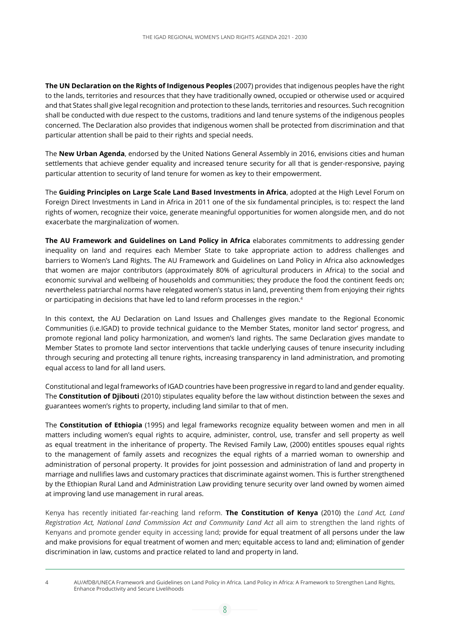**The UN Declaration on the Rights of Indigenous Peoples** (2007) provides that indigenous peoples have the right to the lands, territories and resources that they have traditionally owned, occupied or otherwise used or acquired and that States shall give legal recognition and protection to these lands, territories and resources. Such recognition shall be conducted with due respect to the customs, traditions and land tenure systems of the indigenous peoples concerned. The Declaration also provides that indigenous women shall be protected from discrimination and that particular attention shall be paid to their rights and special needs.

The **New Urban Agenda**, endorsed by the United Nations General Assembly in 2016, envisions cities and human settlements that achieve gender equality and increased tenure security for all that is gender-responsive, paying particular attention to security of land tenure for women as key to their empowerment.

The **Guiding Principles on Large Scale Land Based Investments in Africa**, adopted at the High Level Forum on Foreign Direct Investments in Land in Africa in 2011 one of the six fundamental principles, is to: respect the land rights of women, recognize their voice, generate meaningful opportunities for women alongside men, and do not exacerbate the marginalization of women.

**The AU Framework and Guidelines on Land Policy in Africa** elaborates commitments to addressing gender inequality on land and requires each Member State to take appropriate action to address challenges and barriers to Women's Land Rights. The AU Framework and Guidelines on Land Policy in Africa also acknowledges that women are major contributors (approximately 80% of agricultural producers in Africa) to the social and economic survival and wellbeing of households and communities; they produce the food the continent feeds on; nevertheless patriarchal norms have relegated women's status in land, preventing them from enjoying their rights or participating in decisions that have led to land reform processes in the region.4

In this context, the AU Declaration on Land Issues and Challenges gives mandate to the Regional Economic Communities (i.e.IGAD) to provide technical guidance to the Member States, monitor land sector' progress, and promote regional land policy harmonization, and women's land rights. The same Declaration gives mandate to Member States to promote land sector interventions that tackle underlying causes of tenure insecurity including through securing and protecting all tenure rights, increasing transparency in land administration, and promoting equal access to land for all land users.

Constitutional and legal frameworks of IGAD countries have been progressive in regard to land and gender equality. The **Constitution of Djibouti** (2010) stipulates equality before the law without distinction between the sexes and guarantees women's rights to property, including land similar to that of men.

The **Constitution of Ethiopia** (1995) and legal frameworks recognize equality between women and men in all matters including women's equal rights to acquire, administer, control, use, transfer and sell property as well as equal treatment in the inheritance of property. The Revised Family Law, (2000) entitles spouses equal rights to the management of family assets and recognizes the equal rights of a married woman to ownership and administration of personal property. It provides for joint possession and administration of land and property in marriage and nullifies laws and customary practices that discriminate against women. This is further strengthened by the Ethiopian Rural Land and Administration Law providing tenure security over land owned by women aimed at improving land use management in rural areas.

Kenya has recently initiated far-reaching land reform. **The Constitution of Kenya** (2010) the *Land Act, Land Registration Act, National Land Commission Act and Community Land Act* all aim to strengthen the land rights of Kenyans and promote gender equity in accessing land; provide for equal treatment of all persons under the law and make provisions for equal treatment of women and men; equitable access to land and; elimination of gender discrimination in law, customs and practice related to land and property in land.

<sup>4</sup> AU/AfDB/UNECA Framework and Guidelines on Land Policy in Africa. Land Policy in Africa: A Framework to Strengthen Land Rights, Enhance Productivity and Secure Livelihoods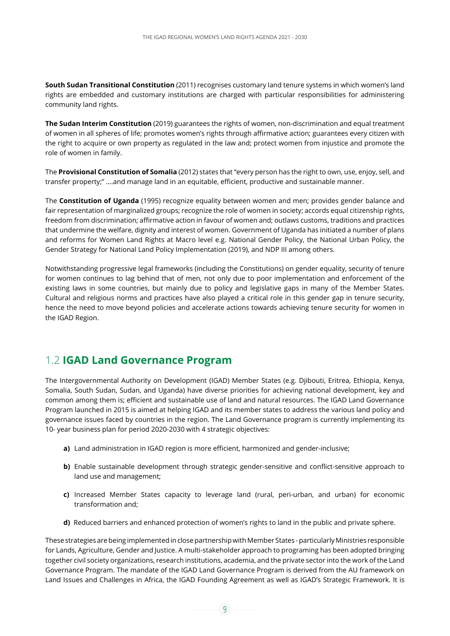**South Sudan Transitional Constitution** (2011) recognises customary land tenure systems in which women's land rights are embedded and customary institutions are charged with particular responsibilities for administering community land rights.

**The Sudan Interim Constitution** (2019) guarantees the rights of women, non-discrimination and equal treatment of women in all spheres of life; promotes women's rights through affirmative action; guarantees every citizen with the right to acquire or own property as regulated in the law and; protect women from injustice and promote the role of women in family.

The **Provisional Constitution of Somalia** (2012) states that "every person has the right to own, use, enjoy, sell, and transfer property;" ….and manage land in an equitable, efficient, productive and sustainable manner.

The **Constitution of Uganda** (1995) recognize equality between women and men; provides gender balance and fair representation of marginalized groups; recognize the role of women in society; accords equal citizenship rights, freedom from discrimination; affirmative action in favour of women and; outlaws customs, traditions and practices that undermine the welfare, dignity and interest of women. Government of Uganda has initiated a number of plans and reforms for Women Land Rights at Macro level e.g. National Gender Policy, the National Urban Policy, the Gender Strategy for National Land Policy Implementation (2019), and NDP III among others.

Notwithstanding progressive legal frameworks (including the Constitutions) on gender equality, security of tenure for women continues to lag behind that of men, not only due to poor implementation and enforcement of the existing laws in some countries, but mainly due to policy and legislative gaps in many of the Member States. Cultural and religious norms and practices have also played a critical role in this gender gap in tenure security, hence the need to move beyond policies and accelerate actions towards achieving tenure security for women in the IGAD Region.

#### 1.2 **IGAD Land Governance Program**

The Intergovernmental Authority on Development (IGAD) Member States (e.g. Djibouti, Eritrea, Ethiopia, Kenya, Somalia, South Sudan, Sudan, and Uganda) have diverse priorities for achieving national development, key and common among them is; efficient and sustainable use of land and natural resources. The IGAD Land Governance Program launched in 2015 is aimed at helping IGAD and its member states to address the various land policy and governance issues faced by countries in the region. The Land Governance program is currently implementing its 10- year business plan for period 2020-2030 with 4 strategic objectives:

- **a)** Land administration in IGAD region is more efficient, harmonized and gender-inclusive;
- **b)** Enable sustainable development through strategic gender-sensitive and conflict-sensitive approach to land use and management;
- **c)** Increased Member States capacity to leverage land (rural, peri-urban, and urban) for economic transformation and;
- **d)** Reduced barriers and enhanced protection of women's rights to land in the public and private sphere.

These strategies are being implemented in close partnership with Member States - particularly Ministries responsible for Lands, Agriculture, Gender and Justice. A multi-stakeholder approach to programing has been adopted bringing together civil society organizations, research institutions, academia, and the private sector into the work of the Land Governance Program. The mandate of the IGAD Land Governance Program is derived from the AU framework on Land Issues and Challenges in Africa, the IGAD Founding Agreement as well as IGAD's Strategic Framework. It is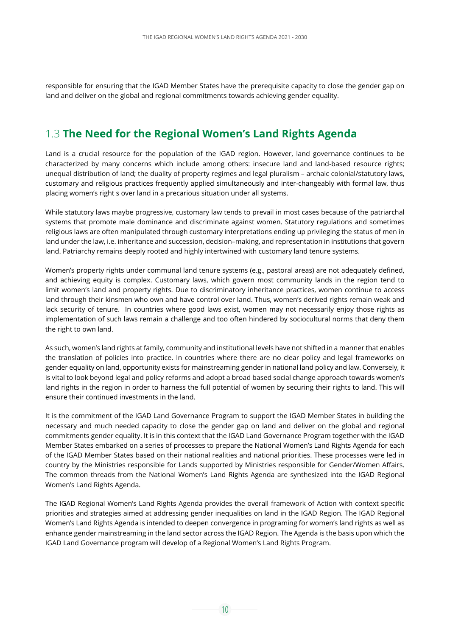responsible for ensuring that the IGAD Member States have the prerequisite capacity to close the gender gap on land and deliver on the global and regional commitments towards achieving gender equality.

#### 1.3 **The Need for the Regional Women's Land Rights Agenda**

Land is a crucial resource for the population of the IGAD region. However, land governance continues to be characterized by many concerns which include among others: insecure land and land-based resource rights; unequal distribution of land; the duality of property regimes and legal pluralism – archaic colonial/statutory laws, customary and religious practices frequently applied simultaneously and inter-changeably with formal law, thus placing women's right s over land in a precarious situation under all systems.

While statutory laws maybe progressive, customary law tends to prevail in most cases because of the patriarchal systems that promote male dominance and discriminate against women. Statutory regulations and sometimes religious laws are often manipulated through customary interpretations ending up privileging the status of men in land under the law, i.e. inheritance and succession, decision–making, and representation in institutions that govern land. Patriarchy remains deeply rooted and highly intertwined with customary land tenure systems.

Women's property rights under communal land tenure systems (e.g., pastoral areas) are not adequately defined, and achieving equity is complex. Customary laws, which govern most community lands in the region tend to limit women's land and property rights. Due to discriminatory inheritance practices, women continue to access land through their kinsmen who own and have control over land. Thus, women's derived rights remain weak and lack security of tenure. In countries where good laws exist, women may not necessarily enjoy those rights as implementation of such laws remain a challenge and too often hindered by sociocultural norms that deny them the right to own land.

As such, women's land rights at family, community and institutional levels have not shifted in a manner that enables the translation of policies into practice. In countries where there are no clear policy and legal frameworks on gender equality on land, opportunity exists for mainstreaming gender in national land policy and law. Conversely, it is vital to look beyond legal and policy reforms and adopt a broad based social change approach towards women's land rights in the region in order to harness the full potential of women by securing their rights to land. This will ensure their continued investments in the land.

It is the commitment of the IGAD Land Governance Program to support the IGAD Member States in building the necessary and much needed capacity to close the gender gap on land and deliver on the global and regional commitments gender equality. It is in this context that the IGAD Land Governance Program together with the IGAD Member States embarked on a series of processes to prepare the National Women's Land Rights Agenda for each of the IGAD Member States based on their national realities and national priorities. These processes were led in country by the Ministries responsible for Lands supported by Ministries responsible for Gender/Women Affairs. The common threads from the National Women's Land Rights Agenda are synthesized into the IGAD Regional Women's Land Rights Agenda.

The IGAD Regional Women's Land Rights Agenda provides the overall framework of Action with context specific priorities and strategies aimed at addressing gender inequalities on land in the IGAD Region. The IGAD Regional Women's Land Rights Agenda is intended to deepen convergence in programing for women's land rights as well as enhance gender mainstreaming in the land sector across the IGAD Region. The Agenda is the basis upon which the IGAD Land Governance program will develop of a Regional Women's Land Rights Program.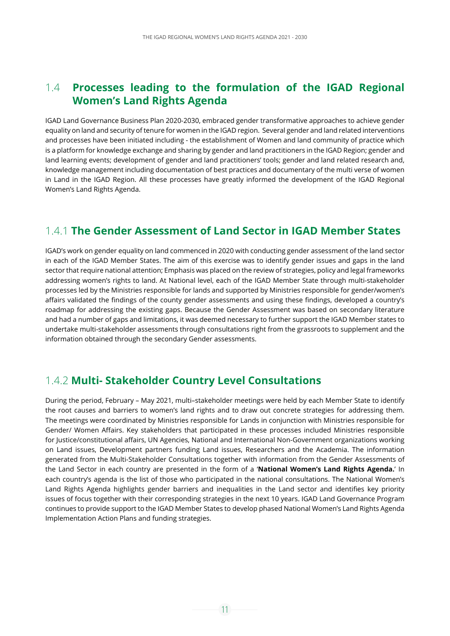#### 1.4 **Processes leading to the formulation of the IGAD Regional Women's Land Rights Agenda**

IGAD Land Governance Business Plan 2020-2030, embraced gender transformative approaches to achieve gender equality on land and security of tenure for women in the IGAD region. Several gender and land related interventions and processes have been initiated including - the establishment of Women and land community of practice which is a platform for knowledge exchange and sharing by gender and land practitioners in the IGAD Region; gender and land learning events; development of gender and land practitioners' tools; gender and land related research and, knowledge management including documentation of best practices and documentary of the multi verse of women in Land in the IGAD Region. All these processes have greatly informed the development of the IGAD Regional Women's Land Rights Agenda.

#### 1.4.1 **The Gender Assessment of Land Sector in IGAD Member States**

IGAD's work on gender equality on land commenced in 2020 with conducting gender assessment of the land sector in each of the IGAD Member States. The aim of this exercise was to identify gender issues and gaps in the land sector that require national attention; Emphasis was placed on the review of strategies, policy and legal frameworks addressing women's rights to land. At National level, each of the IGAD Member State through multi-stakeholder processes led by the Ministries responsible for lands and supported by Ministries responsible for gender/women's affairs validated the findings of the county gender assessments and using these findings, developed a country's roadmap for addressing the existing gaps. Because the Gender Assessment was based on secondary literature and had a number of gaps and limitations, it was deemed necessary to further support the IGAD Member states to undertake multi-stakeholder assessments through consultations right from the grassroots to supplement and the information obtained through the secondary Gender assessments.

#### 1.4.2 **Multi- Stakeholder Country Level Consultations**

During the period, February – May 2021, multi–stakeholder meetings were held by each Member State to identify the root causes and barriers to women's land rights and to draw out concrete strategies for addressing them. The meetings were coordinated by Ministries responsible for Lands in conjunction with Ministries responsible for Gender/ Women Affairs. Key stakeholders that participated in these processes included Ministries responsible for Justice/constitutional affairs, UN Agencies, National and International Non-Government organizations working on Land issues, Development partners funding Land issues, Researchers and the Academia. The information generated from the Multi-Stakeholder Consultations together with information from the Gender Assessments of the Land Sector in each country are presented in the form of a '**National Women's Land Rights Agenda.**' In each country's agenda is the list of those who participated in the national consultations. The National Women's Land Rights Agenda highlights gender barriers and inequalities in the Land sector and identifies key priority issues of focus together with their corresponding strategies in the next 10 years. IGAD Land Governance Program continues to provide support to the IGAD Member States to develop phased National Women's Land Rights Agenda Implementation Action Plans and funding strategies.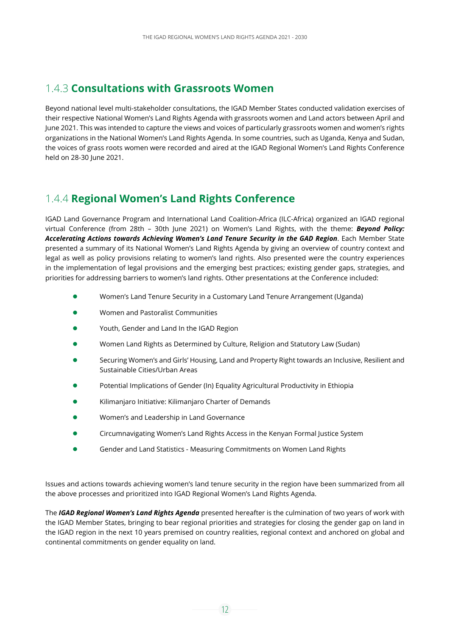#### 1.4.3 **Consultations with Grassroots Women**

Beyond national level multi-stakeholder consultations, the IGAD Member States conducted validation exercises of their respective National Women's Land Rights Agenda with grassroots women and Land actors between April and June 2021. This was intended to capture the views and voices of particularly grassroots women and women's rights organizations in the National Women's Land Rights Agenda. In some countries, such as Uganda, Kenya and Sudan, the voices of grass roots women were recorded and aired at the IGAD Regional Women's Land Rights Conference held on 28-30 June 2021.

#### 1.4.4 **Regional Women's Land Rights Conference**

IGAD Land Governance Program and International Land Coalition-Africa (ILC-Africa) organized an IGAD regional virtual Conference (from 28th – 30th June 2021) on Women's Land Rights, with the theme: *Beyond Policy: Accelerating Actions towards Achieving Women's Land Tenure Security in the GAD Region*. Each Member State presented a summary of its National Women's Land Rights Agenda by giving an overview of country context and legal as well as policy provisions relating to women's land rights. Also presented were the country experiences in the implementation of legal provisions and the emerging best practices; existing gender gaps, strategies, and priorities for addressing barriers to women's land rights. Other presentations at the Conference included:

- Women's Land Tenure Security in a Customary Land Tenure Arrangement (Uganda)
- Women and Pastoralist Communities
- Youth, Gender and Land In the IGAD Region
- Women Land Rights as Determined by Culture, Religion and Statutory Law (Sudan)
- Securing Women's and Girls' Housing, Land and Property Right towards an Inclusive, Resilient and Sustainable Cities/Urban Areas
- Potential Implications of Gender (In) Equality Agricultural Productivity in Ethiopia
- Kilimanjaro Initiative: Kilimanjaro Charter of Demands
- Women's and Leadership in Land Governance
- **Circumnavigating Women's Land Rights Access in the Kenyan Formal Justice System**
- **•** Gender and Land Statistics Measuring Commitments on Women Land Rights

Issues and actions towards achieving women's land tenure security in the region have been summarized from all the above processes and prioritized into IGAD Regional Women's Land Rights Agenda.

The *IGAD Regional Women's Land Rights Agenda* presented hereafter is the culmination of two years of work with the IGAD Member States, bringing to bear regional priorities and strategies for closing the gender gap on land in the IGAD region in the next 10 years premised on country realities, regional context and anchored on global and continental commitments on gender equality on land.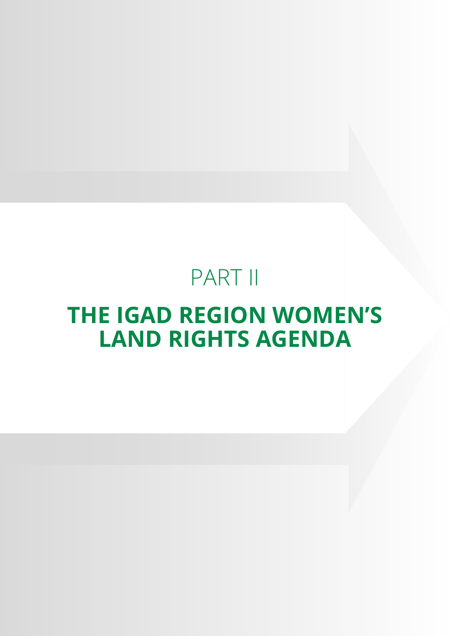## PART II

## **THE IGAD REGION WOMEN'S LAND RIGHTS AGENDA**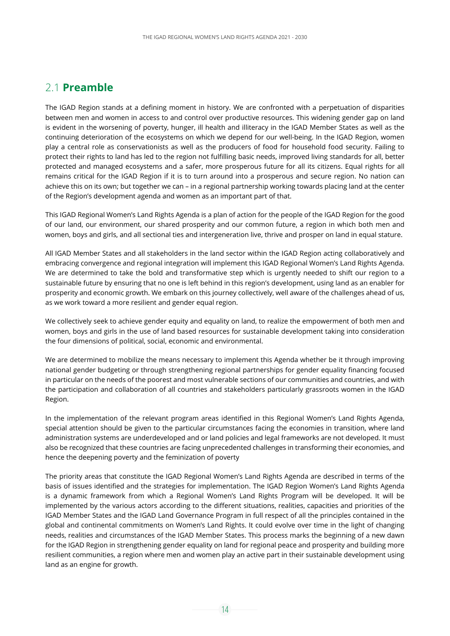#### 2.1 **Preamble**

The IGAD Region stands at a defining moment in history. We are confronted with a perpetuation of disparities between men and women in access to and control over productive resources. This widening gender gap on land is evident in the worsening of poverty, hunger, ill health and illiteracy in the IGAD Member States as well as the continuing deterioration of the ecosystems on which we depend for our well-being. In the IGAD Region, women play a central role as conservationists as well as the producers of food for household food security. Failing to protect their rights to land has led to the region not fulfilling basic needs, improved living standards for all, better protected and managed ecosystems and a safer, more prosperous future for all its citizens. Equal rights for all remains critical for the IGAD Region if it is to turn around into a prosperous and secure region. No nation can achieve this on its own; but together we can – in a regional partnership working towards placing land at the center of the Region's development agenda and women as an important part of that.

This IGAD Regional Women's Land Rights Agenda is a plan of action for the people of the IGAD Region for the good of our land, our environment, our shared prosperity and our common future, a region in which both men and women, boys and girls, and all sectional ties and intergeneration live, thrive and prosper on land in equal stature.

All IGAD Member States and all stakeholders in the land sector within the IGAD Region acting collaboratively and embracing convergence and regional integration will implement this IGAD Regional Women's Land Rights Agenda. We are determined to take the bold and transformative step which is urgently needed to shift our region to a sustainable future by ensuring that no one is left behind in this region's development, using land as an enabler for prosperity and economic growth. We embark on this journey collectively, well aware of the challenges ahead of us, as we work toward a more resilient and gender equal region.

We collectively seek to achieve gender equity and equality on land, to realize the empowerment of both men and women, boys and girls in the use of land based resources for sustainable development taking into consideration the four dimensions of political, social, economic and environmental.

We are determined to mobilize the means necessary to implement this Agenda whether be it through improving national gender budgeting or through strengthening regional partnerships for gender equality financing focused in particular on the needs of the poorest and most vulnerable sections of our communities and countries, and with the participation and collaboration of all countries and stakeholders particularly grassroots women in the IGAD Region.

In the implementation of the relevant program areas identified in this Regional Women's Land Rights Agenda, special attention should be given to the particular circumstances facing the economies in transition, where land administration systems are underdeveloped and or land policies and legal frameworks are not developed. It must also be recognized that these countries are facing unprecedented challenges in transforming their economies, and hence the deepening poverty and the feminization of poverty

The priority areas that constitute the IGAD Regional Women's Land Rights Agenda are described in terms of the basis of issues identified and the strategies for implementation. The IGAD Region Women's Land Rights Agenda is a dynamic framework from which a Regional Women's Land Rights Program will be developed. It will be implemented by the various actors according to the different situations, realities, capacities and priorities of the IGAD Member States and the IGAD Land Governance Program in full respect of all the principles contained in the global and continental commitments on Women's Land Rights. It could evolve over time in the light of changing needs, realities and circumstances of the IGAD Member States. This process marks the beginning of a new dawn for the IGAD Region in strengthening gender equality on land for regional peace and prosperity and building more resilient communities, a region where men and women play an active part in their sustainable development using land as an engine for growth.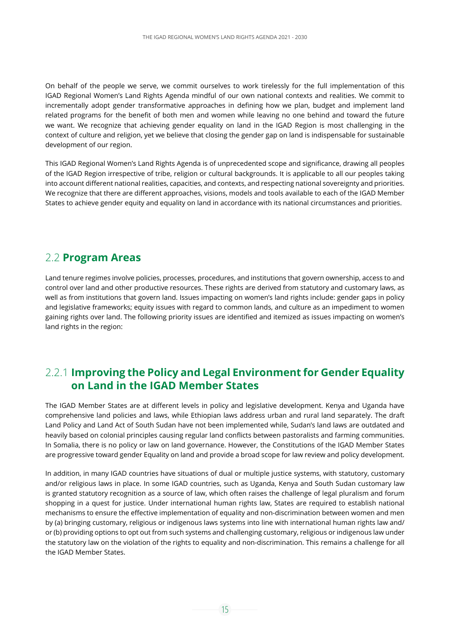On behalf of the people we serve, we commit ourselves to work tirelessly for the full implementation of this IGAD Regional Women's Land Rights Agenda mindful of our own national contexts and realities. We commit to incrementally adopt gender transformative approaches in defining how we plan, budget and implement land related programs for the benefit of both men and women while leaving no one behind and toward the future we want. We recognize that achieving gender equality on land in the IGAD Region is most challenging in the context of culture and religion, yet we believe that closing the gender gap on land is indispensable for sustainable development of our region.

This IGAD Regional Women's Land Rights Agenda is of unprecedented scope and significance, drawing all peoples of the IGAD Region irrespective of tribe, religion or cultural backgrounds. It is applicable to all our peoples taking into account different national realities, capacities, and contexts, and respecting national sovereignty and priorities. We recognize that there are different approaches, visions, models and tools available to each of the IGAD Member States to achieve gender equity and equality on land in accordance with its national circumstances and priorities.

#### 2.2 **Program Areas**

Land tenure regimes involve policies, processes, procedures, and institutions that govern ownership, access to and control over land and other productive resources. These rights are derived from statutory and customary laws, as well as from institutions that govern land. Issues impacting on women's land rights include: gender gaps in policy and legislative frameworks; equity issues with regard to common lands, and culture as an impediment to women gaining rights over land. The following priority issues are identified and itemized as issues impacting on women's land rights in the region:

#### 2.2.1 **Improving the Policy and Legal Environment for Gender Equality on Land in the IGAD Member States**

The IGAD Member States are at different levels in policy and legislative development. Kenya and Uganda have comprehensive land policies and laws, while Ethiopian laws address urban and rural land separately. The draft Land Policy and Land Act of South Sudan have not been implemented while, Sudan's land laws are outdated and heavily based on colonial principles causing regular land conflicts between pastoralists and farming communities. In Somalia, there is no policy or law on land governance. However, the Constitutions of the IGAD Member States are progressive toward gender Equality on land and provide a broad scope for law review and policy development.

In addition, in many IGAD countries have situations of dual or multiple justice systems, with statutory, customary and/or religious laws in place. In some IGAD countries, such as Uganda, Kenya and South Sudan customary law is granted statutory recognition as a source of law, which often raises the challenge of legal pluralism and forum shopping in a quest for justice. Under international human rights law, States are required to establish national mechanisms to ensure the effective implementation of equality and non-discrimination between women and men by (a) bringing customary, religious or indigenous laws systems into line with international human rights law and/ or (b) providing options to opt out from such systems and challenging customary, religious or indigenous law under the statutory law on the violation of the rights to equality and non-discrimination. This remains a challenge for all the IGAD Member States.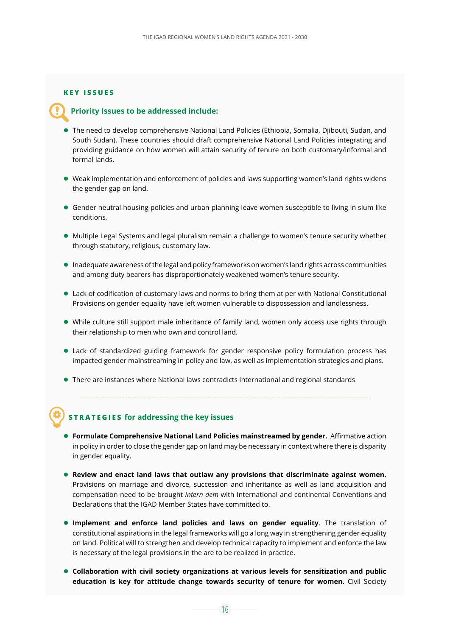#### **KEY ISSUES**

#### **Priority Issues to be addressed include:**

- The need to develop comprehensive National Land Policies (Ethiopia, Somalia, Djibouti, Sudan, and South Sudan). These countries should draft comprehensive National Land Policies integrating and providing guidance on how women will attain security of tenure on both customary/informal and formal lands.
- Weak implementation and enforcement of policies and laws supporting women's land rights widens the gender gap on land.
- Gender neutral housing policies and urban planning leave women susceptible to living in slum like conditions,
- $\bullet$  Multiple Legal Systems and legal pluralism remain a challenge to women's tenure security whether through statutory, religious, customary law.
- $\bullet$  Inadequate awareness of the legal and policy frameworks on women's land rights across communities and among duty bearers has disproportionately weakened women's tenure security.
- Lack of codification of customary laws and norms to bring them at per with National Constitutional Provisions on gender equality have left women vulnerable to dispossession and landlessness.
- While culture still support male inheritance of family land, women only access use rights through their relationship to men who own and control land.
- Lack of standardized guiding framework for gender responsive policy formulation process has impacted gender mainstreaming in policy and law, as well as implementation strategies and plans.
- There are instances where National laws contradicts international and regional standards

#### **STRATEGIES for addressing the key issues**

- **Formulate Comprehensive National Land Policies mainstreamed by gender.** Affirmative action in policy in order to close the gender gap on land may be necessary in context where there is disparity in gender equality.
- **Review and enact land laws that outlaw any provisions that discriminate against women.**  Provisions on marriage and divorce, succession and inheritance as well as land acquisition and compensation need to be brought *intern dem* with International and continental Conventions and Declarations that the IGAD Member States have committed to.
- **Implement and enforce land policies and laws on gender equality**. The translation of constitutional aspirations in the legal frameworks will go a long way in strengthening gender equality on land. Political will to strengthen and develop technical capacity to implement and enforce the law is necessary of the legal provisions in the are to be realized in practice.
- **Collaboration with civil society organizations at various levels for sensitization and public education is key for attitude change towards security of tenure for women.** Civil Society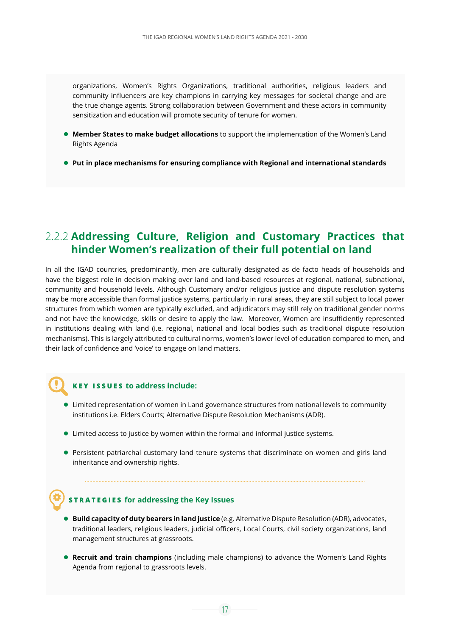organizations, Women's Rights Organizations, traditional authorities, religious leaders and community influencers are key champions in carrying key messages for societal change and are the true change agents. Strong collaboration between Government and these actors in community sensitization and education will promote security of tenure for women.

- **Member States to make budget allocations** to support the implementation of the Women's Land Rights Agenda
- **Put in place mechanisms for ensuring compliance with Regional and international standards**

#### 2.2.2 **Addressing Culture, Religion and Customary Practices that hinder Women's realization of their full potential on land**

In all the IGAD countries, predominantly, men are culturally designated as de facto heads of households and have the biggest role in decision making over land and land-based resources at regional, national, subnational, community and household levels. Although Customary and/or religious justice and dispute resolution systems may be more accessible than formal justice systems, particularly in rural areas, they are still subject to local power structures from which women are typically excluded, and adjudicators may still rely on traditional gender norms and not have the knowledge, skills or desire to apply the law. Moreover, Women are insufficiently represented in institutions dealing with land (i.e. regional, national and local bodies such as traditional dispute resolution mechanisms). This is largely attributed to cultural norms, women's lower level of education compared to men, and their lack of confidence and 'voice' to engage on land matters.

#### **KEY ISSUES to address include:**

- Limited representation of women in Land governance structures from national levels to community institutions i.e. Elders Courts; Alternative Dispute Resolution Mechanisms (ADR).
- Limited access to justice by women within the formal and informal justice systems.
- Persistent patriarchal customary land tenure systems that discriminate on women and girls land inheritance and ownership rights.

#### **STRATEGIES for addressing the Key Issues**

- **Build capacity of duty bearers in land justice** (e.g. Alternative Dispute Resolution (ADR), advocates, traditional leaders, religious leaders, judicial officers, Local Courts, civil society organizations, land management structures at grassroots.
- **Recruit and train champions** (including male champions) to advance the Women's Land Rights Agenda from regional to grassroots levels.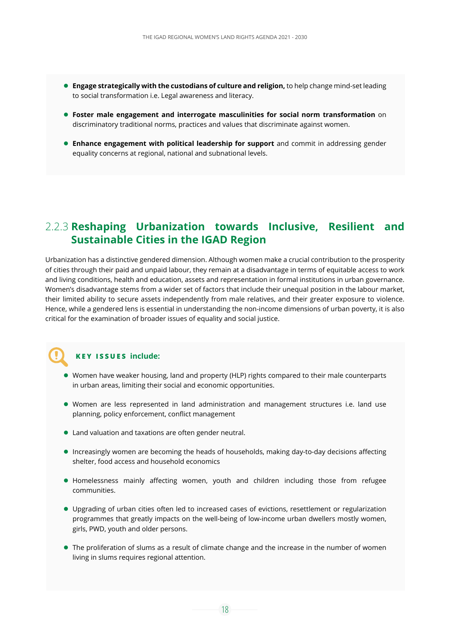- **Engage strategically with the custodians of culture and religion,** to help change mind-set leading to social transformation i.e. Legal awareness and literacy.
- **Foster male engagement and interrogate masculinities for social norm transformation** on discriminatory traditional norms, practices and values that discriminate against women.
- **Enhance engagement with political leadership for support** and commit in addressing gender equality concerns at regional, national and subnational levels.

#### 2.2.3 **Reshaping Urbanization towards Inclusive, Resilient and Sustainable Cities in the IGAD Region**

Urbanization has a distinctive gendered dimension. Although women make a crucial contribution to the prosperity of cities through their paid and unpaid labour, they remain at a disadvantage in terms of equitable access to work and living conditions, health and education, assets and representation in formal institutions in urban governance. Women's disadvantage stems from a wider set of factors that include their unequal position in the labour market, their limited ability to secure assets independently from male relatives, and their greater exposure to violence. Hence, while a gendered lens is essential in understanding the non-income dimensions of urban poverty, it is also critical for the examination of broader issues of equality and social justice.

#### **KEY ISSUES include:**

- Women have weaker housing, land and property (HLP) rights compared to their male counterparts in urban areas, limiting their social and economic opportunities.
- Women are less represented in land administration and management structures i.e. land use planning, policy enforcement, conflict management
- Land valuation and taxations are often gender neutral.
- Increasingly women are becoming the heads of households, making day-to-day decisions affecting shelter, food access and household economics
- Homelessness mainly affecting women, youth and children including those from refugee communities.
- Upgrading of urban cities often led to increased cases of evictions, resettlement or regularization programmes that greatly impacts on the well-being of low-income urban dwellers mostly women, girls, PWD, youth and older persons.
- The proliferation of slums as a result of climate change and the increase in the number of women living in slums requires regional attention.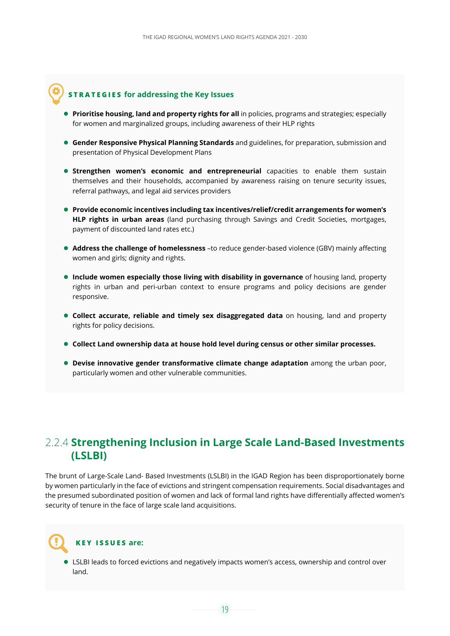#### **STRATEGIES for addressing the Key Issues**

- **Prioritise housing, land and property rights for all** in policies, programs and strategies; especially for women and marginalized groups, including awareness of their HLP rights
- **Gender Responsive Physical Planning Standards** and guidelines, for preparation, submission and presentation of Physical Development Plans
- **Strengthen women's economic and entrepreneurial** capacities to enable them sustain themselves and their households, accompanied by awareness raising on tenure security issues, referral pathways, and legal aid services providers
- **Provide economic incentives including tax incentives/relief/credit arrangements for women's HLP rights in urban areas** (land purchasing through Savings and Credit Societies, mortgages, payment of discounted land rates etc.)
- **Address the challenge of homelessness** –to reduce gender-based violence (GBV) mainly affecting women and girls; dignity and rights.
- **Include women especially those living with disability in governance** of housing land, property rights in urban and peri-urban context to ensure programs and policy decisions are gender responsive.
- **Collect accurate, reliable and timely sex disaggregated data** on housing, land and property rights for policy decisions.
- **Collect Land ownership data at house hold level during census or other similar processes.**
- **Devise innovative gender transformative climate change adaptation** among the urban poor, particularly women and other vulnerable communities.

#### 2.2.4 **Strengthening Inclusion in Large Scale Land-Based Investments (LSLBI)**

The brunt of Large-Scale Land- Based Investments (LSLBI) in the IGAD Region has been disproportionately borne by women particularly in the face of evictions and stringent compensation requirements. Social disadvantages and the presumed subordinated position of women and lack of formal land rights have differentially affected women's security of tenure in the face of large scale land acquisitions.

#### **KEY ISSUES are:**

 LSLBI leads to forced evictions and negatively impacts women's access, ownership and control over land.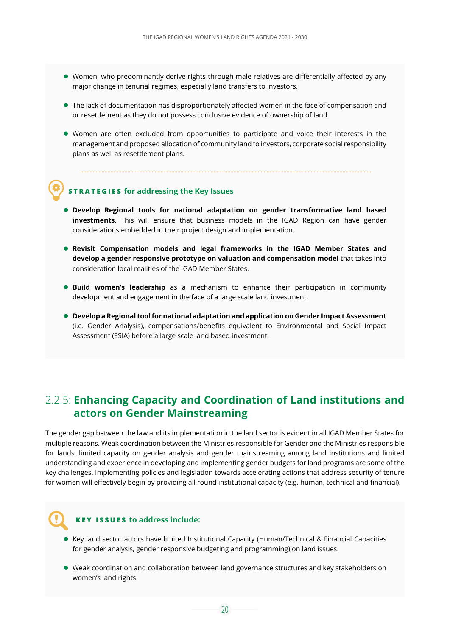- Women, who predominantly derive rights through male relatives are differentially affected by any major change in tenurial regimes, especially land transfers to investors.
- The lack of documentation has disproportionately affected women in the face of compensation and or resettlement as they do not possess conclusive evidence of ownership of land.
- Women are often excluded from opportunities to participate and voice their interests in the management and proposed allocation of community land to investors, corporate social responsibility plans as well as resettlement plans.

#### **STRATEGIES for addressing the Key Issues**

- **Develop Regional tools for national adaptation on gender transformative land based investments**. This will ensure that business models in the IGAD Region can have gender considerations embedded in their project design and implementation.
- **Revisit Compensation models and legal frameworks in the IGAD Member States and develop a gender responsive prototype on valuation and compensation model** that takes into consideration local realities of the IGAD Member States.
- **Build women's leadership** as a mechanism to enhance their participation in community development and engagement in the face of a large scale land investment.
- **Develop a Regional tool for national adaptation and application on Gender Impact Assessment** (i.e. Gender Analysis), compensations/benefits equivalent to Environmental and Social Impact Assessment (ESIA) before a large scale land based investment.

#### 2.2.5: **Enhancing Capacity and Coordination of Land institutions and actors on Gender Mainstreaming**

The gender gap between the law and its implementation in the land sector is evident in all IGAD Member States for multiple reasons. Weak coordination between the Ministries responsible for Gender and the Ministries responsible for lands, limited capacity on gender analysis and gender mainstreaming among land institutions and limited understanding and experience in developing and implementing gender budgets for land programs are some of the key challenges. Implementing policies and legislation towards accelerating actions that address security of tenure for women will effectively begin by providing all round institutional capacity (e.g. human, technical and financial).

#### **KEY ISSUES to address include:**

- Key land sector actors have limited Institutional Capacity (Human/Technical & Financial Capacities for gender analysis, gender responsive budgeting and programming) on land issues.
- Weak coordination and collaboration between land governance structures and key stakeholders on women's land rights.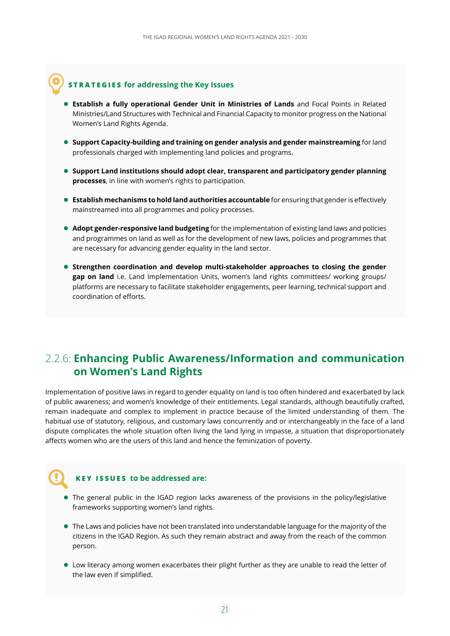#### **STRATEGIES for addressing the Key Issues**

- **Establish a fully operational Gender Unit in Ministries of Lands** and Focal Points in Related Ministries/Land Structures with Technical and Financial Capacity to monitor progress on the National Women's Land Rights Agenda.
- **Support Capacity-building and training on gender analysis and gender mainstreaming** for land professionals charged with implementing land policies and programs.
- **Support Land institutions should adopt clear, transparent and participatory gender planning processes**, in line with women's rights to participation.
- **Establish mechanisms to hold land authorities accountable** for ensuring that gender is effectively mainstreamed into all programmes and policy processes.
- **Adopt gender-responsive land budgeting** for the implementation of existing land laws and policies and programmes on land as well as for the development of new laws, policies and programmes that are necessary for advancing gender equality in the land sector.
- **Strengthen coordination and develop multi-stakeholder approaches to closing the gender gap on land** i.e. Land Implementation Units, women's land rights committees/ working groups/ platforms are necessary to facilitate stakeholder engagements, peer learning, technical support and coordination of efforts.

#### 2.2.6: **Enhancing Public Awareness/Information and communication on Women's Land Rights**

Implementation of positive laws in regard to gender equality on land is too often hindered and exacerbated by lack of public awareness; and women's knowledge of their entitlements. Legal standards, although beautifully crafted, remain inadequate and complex to implement in practice because of the limited understanding of them. The habitual use of statutory, religious, and customary laws concurrently and or interchangeably in the face of a land dispute complicates the whole situation often living the land lying in impasse, a situation that disproportionately affects women who are the users of this land and hence the feminization of poverty.

#### **KEY ISSUES to be addressed are:**

- The general public in the IGAD region lacks awareness of the provisions in the policy/legislative frameworks supporting women's land rights.
- The Laws and policies have not been translated into understandable language for the majority of the citizens in the IGAD Region. As such they remain abstract and away from the reach of the common person.
- Low literacy among women exacerbates their plight further as they are unable to read the letter of the law even if simplified.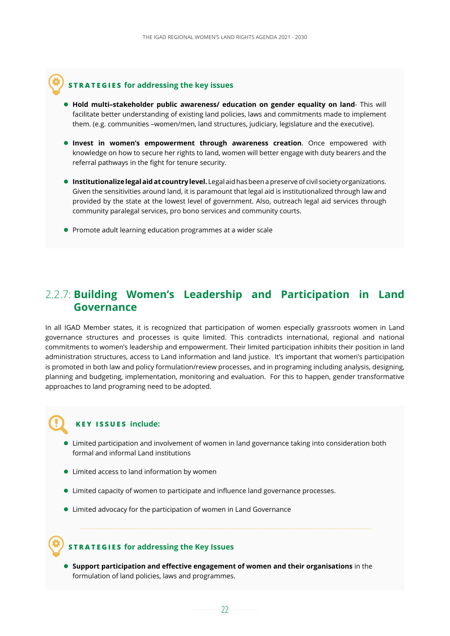#### **STRATEGIES for addressing the key issues**

- **Hold multi–stakeholder public awareness/ education on gender equality on land** This will facilitate better understanding of existing land policies, laws and commitments made to implement them. (e.g. communities –women/men, land structures, judiciary, legislature and the executive).
- **Invest in women's empowerment through awareness creation**. Once empowered with knowledge on how to secure her rights to land, women will better engage with duty bearers and the referral pathways in the fight for tenure security.
- **Institutionalize legal aid at country level.** Legal aid has been a preserve of civil society organizations. Given the sensitivities around land, it is paramount that legal aid is institutionalized through law and provided by the state at the lowest level of government. Also, outreach legal aid services through community paralegal services, pro bono services and community courts.
- **Promote adult learning education programmes at a wider scale**

#### 2.2.7: **Building Women's Leadership and Participation in Land Governance**

In all IGAD Member states, it is recognized that participation of women especially grassroots women in Land governance structures and processes is quite limited. This contradicts international, regional and national commitments to women's leadership and empowerment. Their limited participation inhibits their position in land administration structures, access to Land information and land justice. It's important that women's participation is promoted in both law and policy formulation/review processes, and in programing including analysis, designing, planning and budgeting, implementation, monitoring and evaluation. For this to happen, gender transformative approaches to land programing need to be adopted.

#### **KEY ISSUES include:**

- Limited participation and involvement of women in land governance taking into consideration both formal and informal Land institutions
- **.** Limited access to land information by women
- Limited capacity of women to participate and influence land governance processes.
- Limited advocacy for the participation of women in Land Governance

#### **STRATEGIES for addressing the Key Issues**

 **Support participation and effective engagement of women and their organisations** in the formulation of land policies, laws and programmes.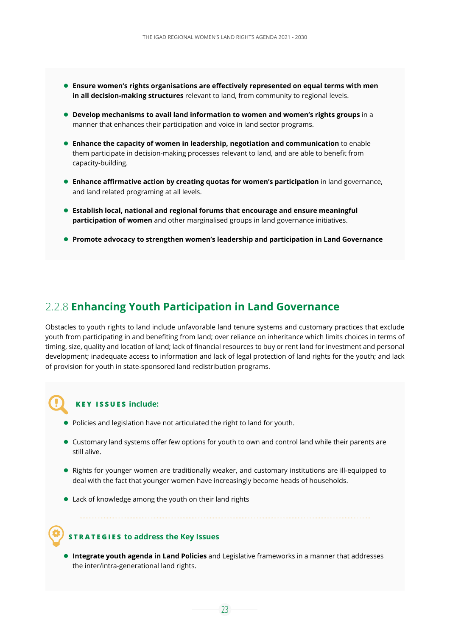- **Ensure women's rights organisations are effectively represented on equal terms with men in all decision-making structures** relevant to land, from community to regional levels.
- **Develop mechanisms to avail land information to women and women's rights groups** in a manner that enhances their participation and voice in land sector programs.
- **Enhance the capacity of women in leadership, negotiation and communication** to enable them participate in decision-making processes relevant to land, and are able to benefit from capacity-building.
- **Enhance affirmative action by creating quotas for women's participation** in land governance, and land related programing at all levels.
- **Establish local, national and regional forums that encourage and ensure meaningful participation of women** and other marginalised groups in land governance initiatives.
- **Promote advocacy to strengthen women's leadership and participation in Land Governance**

#### 2.2.8 **Enhancing Youth Participation in Land Governance**

Obstacles to youth rights to land include unfavorable land tenure systems and customary practices that exclude youth from participating in and benefiting from land; over reliance on inheritance which limits choices in terms of timing, size, quality and location of land; lack of financial resources to buy or rent land for investment and personal development; inadequate access to information and lack of legal protection of land rights for the youth; and lack of provision for youth in state-sponsored land redistribution programs.

#### **KEY ISSUES include:**

- Policies and legislation have not articulated the right to land for youth.
- Customary land systems offer few options for youth to own and control land while their parents are still alive.
- Rights for younger women are traditionally weaker, and customary institutions are ill-equipped to deal with the fact that younger women have increasingly become heads of households.
- Lack of knowledge among the youth on their land rights

#### **STRATEGIES to address the Key Issues**

 **Integrate youth agenda in Land Policies** and Legislative frameworks in a manner that addresses the inter/intra-generational land rights.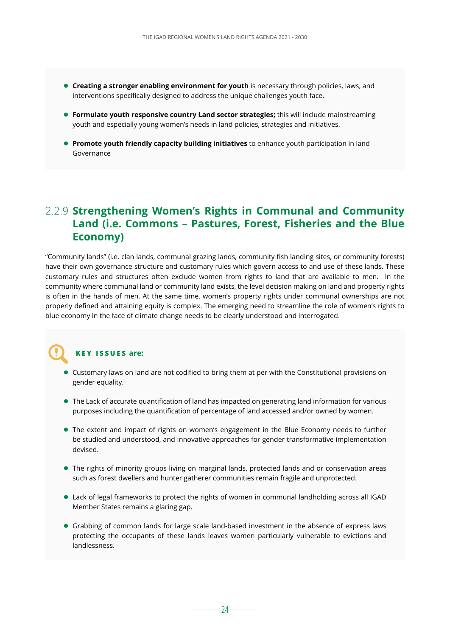- **Creating a stronger enabling environment for youth** is necessary through policies, laws, and interventions specifically designed to address the unique challenges youth face.
- **Formulate youth responsive country Land sector strategies;** this will include mainstreaming youth and especially young women's needs in land policies, strategies and initiatives.
- **Promote youth friendly capacity building initiatives** to enhance youth participation in land Governance

#### 2.2.9 **Strengthening Women's Rights in Communal and Community Land (i.e. Commons – Pastures, Forest, Fisheries and the Blue Economy)**

"Community lands" (i.e. clan lands, communal grazing lands, community fish landing sites, or community forests) have their own governance structure and customary rules which govern access to and use of these lands. These customary rules and structures often exclude women from rights to land that are available to men. In the community where communal land or community land exists, the level decision making on land and property rights is often in the hands of men. At the same time, women's property rights under communal ownerships are not properly defined and attaining equity is complex. The emerging need to streamline the role of women's rights to blue economy in the face of climate change needs to be clearly understood and interrogated.

#### **KEY ISSUES are:**

- Customary laws on land are not codified to bring them at per with the Constitutional provisions on gender equality.
- The Lack of accurate quantification of land has impacted on generating land information for various purposes including the quantification of percentage of land accessed and/or owned by women.
- The extent and impact of rights on women's engagement in the Blue Economy needs to further be studied and understood, and innovative approaches for gender transformative implementation devised.
- The rights of minority groups living on marginal lands, protected lands and or conservation areas such as forest dwellers and hunter gatherer communities remain fragile and unprotected.
- Lack of legal frameworks to protect the rights of women in communal landholding across all IGAD Member States remains a glaring gap.
- Grabbing of common lands for large scale land-based investment in the absence of express laws protecting the occupants of these lands leaves women particularly vulnerable to evictions and landlessness.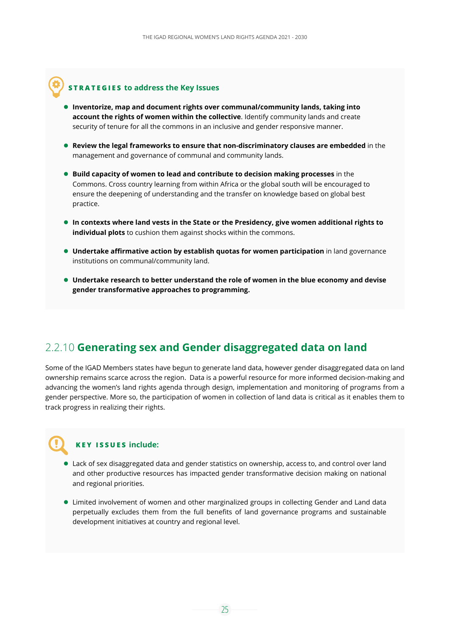#### **STRATEGIES to address the Key Issues**

- **Inventorize, map and document rights over communal/community lands, taking into account the rights of women within the collective**. Identify community lands and create security of tenure for all the commons in an inclusive and gender responsive manner.
- **Review the legal frameworks to ensure that non-discriminatory clauses are embedded** in the management and governance of communal and community lands.
- **Build capacity of women to lead and contribute to decision making processes** in the Commons. Cross country learning from within Africa or the global south will be encouraged to ensure the deepening of understanding and the transfer on knowledge based on global best practice.
- **In contexts where land vests in the State or the Presidency, give women additional rights to individual plots** to cushion them against shocks within the commons.
- **Undertake affirmative action by establish quotas for women participation** in land governance institutions on communal/community land.
- **Undertake research to better understand the role of women in the blue economy and devise gender transformative approaches to programming.**

#### 2.2.10 **Generating sex and Gender disaggregated data on land**

Some of the IGAD Members states have begun to generate land data, however gender disaggregated data on land ownership remains scarce across the region. Data is a powerful resource for more informed decision-making and advancing the women's land rights agenda through design, implementation and monitoring of programs from a gender perspective. More so, the participation of women in collection of land data is critical as it enables them to track progress in realizing their rights.

#### **KEY ISSUES include:**

- Lack of sex disaggregated data and gender statistics on ownership, access to, and control over land and other productive resources has impacted gender transformative decision making on national and regional priorities.
- Limited involvement of women and other marginalized groups in collecting Gender and Land data perpetually excludes them from the full benefits of land governance programs and sustainable development initiatives at country and regional level.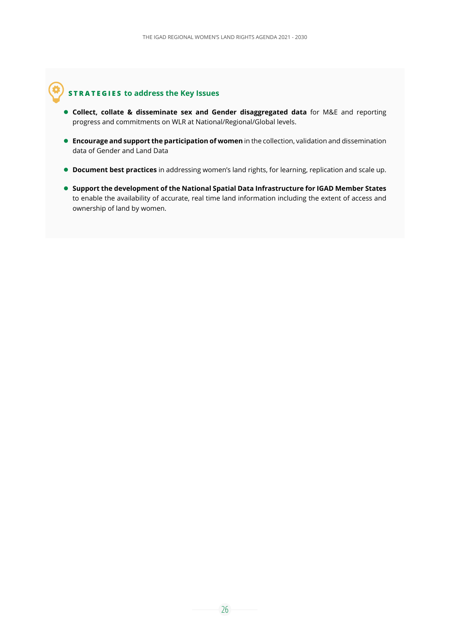#### **STRATEGIES to address the Key Issues**

- **Collect, collate & disseminate sex and Gender disaggregated data** for M&E and reporting progress and commitments on WLR at National/Regional/Global levels.
- **Encourage and support the participation of women** in the collection, validation and dissemination data of Gender and Land Data
- **Document best practices** in addressing women's land rights, for learning, replication and scale up.
- **Support the development of the National Spatial Data Infrastructure for IGAD Member States** to enable the availability of accurate, real time land information including the extent of access and ownership of land by women.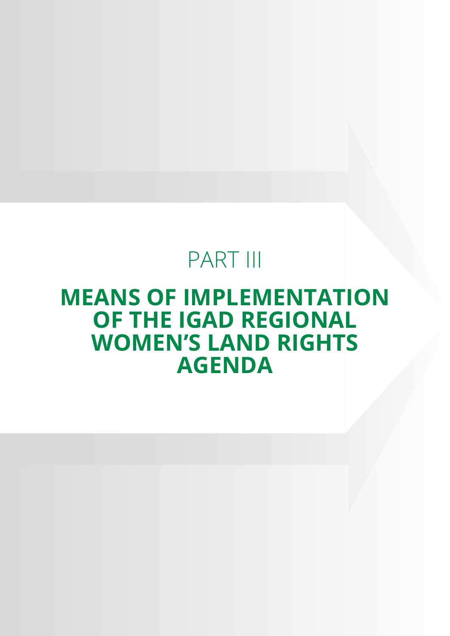## PART III

### **MEANS OF IMPLEMENTATION OF THE IGAD REGIONAL WOMEN'S LAND RIGHTS AGENDA**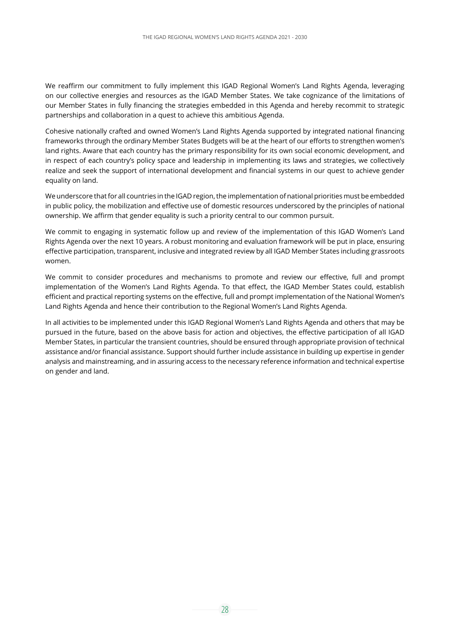We reaffirm our commitment to fully implement this IGAD Regional Women's Land Rights Agenda, leveraging on our collective energies and resources as the IGAD Member States. We take cognizance of the limitations of our Member States in fully financing the strategies embedded in this Agenda and hereby recommit to strategic partnerships and collaboration in a quest to achieve this ambitious Agenda.

Cohesive nationally crafted and owned Women's Land Rights Agenda supported by integrated national financing frameworks through the ordinary Member States Budgets will be at the heart of our efforts to strengthen women's land rights. Aware that each country has the primary responsibility for its own social economic development, and in respect of each country's policy space and leadership in implementing its laws and strategies, we collectively realize and seek the support of international development and financial systems in our quest to achieve gender equality on land.

We underscore that for all countries in the IGAD region, the implementation of national priorities must be embedded in public policy, the mobilization and effective use of domestic resources underscored by the principles of national ownership. We affirm that gender equality is such a priority central to our common pursuit.

We commit to engaging in systematic follow up and review of the implementation of this IGAD Women's Land Rights Agenda over the next 10 years. A robust monitoring and evaluation framework will be put in place, ensuring effective participation, transparent, inclusive and integrated review by all IGAD Member States including grassroots women.

We commit to consider procedures and mechanisms to promote and review our effective, full and prompt implementation of the Women's Land Rights Agenda. To that effect, the IGAD Member States could, establish efficient and practical reporting systems on the effective, full and prompt implementation of the National Women's Land Rights Agenda and hence their contribution to the Regional Women's Land Rights Agenda.

In all activities to be implemented under this IGAD Regional Women's Land Rights Agenda and others that may be pursued in the future, based on the above basis for action and objectives, the effective participation of all IGAD Member States, in particular the transient countries, should be ensured through appropriate provision of technical assistance and/or financial assistance. Support should further include assistance in building up expertise in gender analysis and mainstreaming, and in assuring access to the necessary reference information and technical expertise on gender and land.